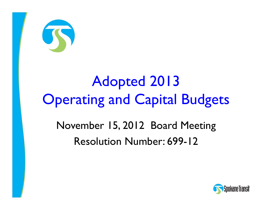

# Adopted 2013 **Operating and Capital Budgets**

## November 15, 2012 Board Meeting Resolution Number: 699-12

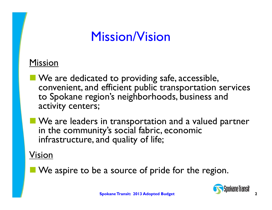# Mission/Vision

#### Mission

- **No. 2 Alle 20 Yeal is also under** Safe, accessible, convenient, and efficient public transportation services to Spokane region's neighborhoods, business and activity centers;
- **No.** We are leaders in transportation and a valued partner in the community's social fabric, economic infrastructure, and quality of life;

#### Vision

**No.** We aspire to be a source of pride for the region.

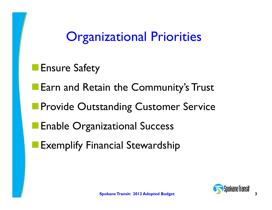# Organizational Priorities

- **Ensure Safety**
- **Earn and Retain the Community's Trust**
- **Provide Outstanding Customer Service**
- Enable Organizational Success
- Exemplify Financial Stewardship

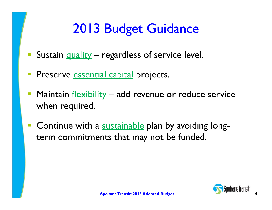# 2013 Budget Guidance

- Sustain quality regardless of service level.
- **Preserve <u>essential capital</u> projects.**
- Maintain flexibility add revenue or reduce service when required.
- $\mathbb{R}^n$ **Continue with a sustainable plan by avoiding long**term commitments that may not be funded.

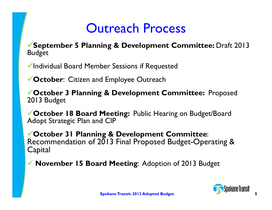# Outreach Process

**September 5 Planning & Development Committee:** Draft 2013 Budget

Individual Board Member Sessions if Requested

**October**: Citizen and Employee Outreach

**October 3 Planning & Development Committee:** Proposed 2013 Budget

**October 18 Board Meeting:** Public Hearing on Budget/Board Adopt Strategic Plan and CIP

**October 31 Planning & Development Committee**: Recommendation of 2013 Final Proposed Budget-Operating & **Capital** 

**November 15 Board Meeting**: Adoption of 2013 Budget

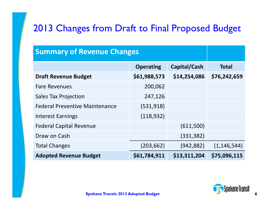#### 2013 Changes from Draft to Final Proposed Budget

#### **Summary of Revenue Changes**

|                                       | <b>Operating</b> | Capital/Cash | <b>Total</b>  |
|---------------------------------------|------------------|--------------|---------------|
| <b>Draft Revenue Budget</b>           | \$61,988,573     | \$14,254,086 | \$76,242,659  |
| <b>Fare Revenues</b>                  | 200,062          |              |               |
| <b>Sales Tax Projection</b>           | 247,126          |              |               |
| <b>Federal Preventive Maintenance</b> | (531,918)        |              |               |
| <b>Interest Earnings</b>              | (118, 932)       |              |               |
| <b>Federal Capital Revenue</b>        |                  | (611,500)    |               |
| Draw on Cash                          |                  | (331, 382)   |               |
| <b>Total Changes</b>                  | (203, 662)       | (942, 882)   | (1, 146, 544) |
| <b>Adopted Revenue Budget</b>         | \$61,784,911     | \$13,311,204 | \$75,096,115  |

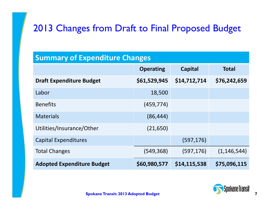#### 2013 Changes from Draft to Final Proposed Budget

#### **Summary of Expenditure Changes**

|                                   | <b>Operating</b> | <b>Capital</b> | <b>Total</b>  |
|-----------------------------------|------------------|----------------|---------------|
| <b>Draft Expenditure Budget</b>   | \$61,529,945     | \$14,712,714   | \$76,242,659  |
| Labor                             | 18,500           |                |               |
| <b>Benefits</b>                   | (459, 774)       |                |               |
| <b>Materials</b>                  | (86, 444)        |                |               |
| Utilities/Insurance/Other         | (21, 650)        |                |               |
| <b>Capital Expenditures</b>       |                  | (597, 176)     |               |
| <b>Total Changes</b>              | (549,368)        | (597, 176)     | (1, 146, 544) |
| <b>Adopted Expenditure Budget</b> | \$60,980,577     | \$14,115,538   | \$75,096,115  |

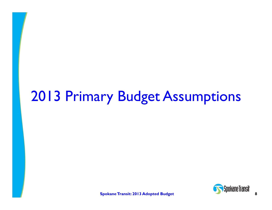# 2013 Primary Budget Assumptions

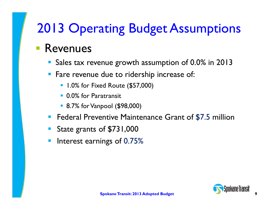# 2013 Operating Budget Assumptions

### **Revenues**

- Sales tax revenue growth assumption of 0.0% in 2013
- **Fare revenue due to ridership increase of:** 
	- **1.0% for Fixed Route (\$57,000)**
	- 0.0% for Paratransit
	- 8.7% for Vanpool (\$98,000)
- $\begin{bmatrix} 1 \\ 1 \end{bmatrix}$ Federal Preventive Maintenance Grant of \$7.5 million
- State grants of \$731,000
- $\mathbb{R}^n$ Interest earnings of 0.75%

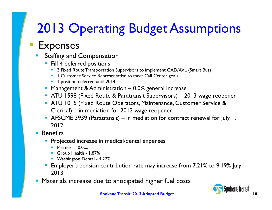# 2013 Operating Budget Assumptions

### Expenses

- k. Staffing and Compensation
	- **Fill 4 deferred positions** 
		- 3 Fixed Route Transportation Supervisors to implement CAD/AVL (Smart Bus)
		- **1** Customer Service Representative to meet Call Center goals
		- **1 1** position deferred until 2014
	- **Management & Administration 0.0% general increase**
	- ATU 1598 (Fixed Route & Paratransit Supervisors) 2013 wage reopener
	- ATU 1015 (Fixed Route Operators, Maintenance, Customer Service & Clerical) – in mediation for 2012 wage reopener
	- AFSCME 3939 (Paratransit) in mediation for contract renewal for July 1, 2012

#### F Benefits

- П Projected increase in medical/dental expenses
	- **Premera 0.0%,**
	- Group Health 1.87%
	- **Washington Dental 4.27%**
- П Employer's pension contribution rate may increase from 7.21% to 9.19% July 2013
- **Materials increase due to anticipated higher fuel costs**

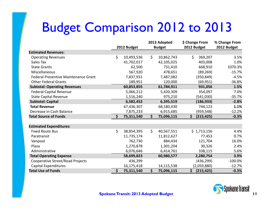# Budget Comparison 2012 to 2013

|                                      |     |             |     | 2013 Adopted  | \$ Change From   | % Change From |
|--------------------------------------|-----|-------------|-----|---------------|------------------|---------------|
|                                      |     | 2012 Budget |     | <b>Budget</b> | 2012 Budget      | 2012 Budget   |
| <b>Estimated Revenues:</b>           |     |             |     |               |                  |               |
| <b>Operating Revenues</b>            | \$. | 10,493,536  | \$  | 10,862,743    | \$<br>369,207    | 3.5%          |
| Sales Tax                            |     | 41,702,017  |     | 42,105,025    | 403,008          | 1.0%          |
| <b>State Grants</b>                  |     | 62,500      |     | 731,410       | 668,910          | 1070.3%       |
| Miscellaneous                        |     | 567,920     |     | 478,651       | (89, 269)        | $-15.7%$      |
| Federal Preventive Maintenance Grant |     | 7,837,931   |     | 7,487,082     | (350, 849)       | $-4.5%$       |
| <b>Other Federal Grants</b>          |     | 189,951     |     | 120,000       | (69, 951)        | $-36.8%$      |
| <b>Subtotal: Operating Revenues</b>  |     | 60,853,855  |     | 61,784,911    | 931,056          | 1.5%          |
| <b>Federal Capital Revenue</b>       |     | 5,066,212   |     | 5,420,309     | 354,097          | 7.0%          |
| <b>State Capital Revenue</b>         |     | 1,516,240   |     | 975,210       | (541,030)        | $-35.7%$      |
| <b>Subtotal: Capital</b>             |     | 6,582,452   |     | 6,395,519     | (186, 933)       | $-2.8%$       |
| <b>Total Revenue</b>                 |     | 67,436,307  |     | 68,180,430    | 744,123          | 1.1%          |
| Decrease in Cash Balance             |     | 7,875,233   |     | 6,915,685     | (959, 548)       | $-12.2%$      |
| <b>Total Source of Funds</b>         | \$  | 75,311,540  | \$  | 75,096,115    | \$<br>(215, 425) | $-0.3%$       |
| <b>Estimated Expenditures:</b>       |     |             |     |               |                  |               |
| <b>Fixed Route Bus</b>               | \$  | 38,854,395  | \$  | 40,567,551    | \$1,713,156      | 4.4%          |
| Paratransit                          |     | 11,735,174  |     | 11,812,627    | 77,453           | 0.7%          |
| Vanpool                              |     | 762,730     |     | 884,434       | 121,704          | 16.0%         |
| Plaza                                |     | 1,270,878   |     | 1,301,204     | 30,326           | 2.4%          |
| Administrative                       |     | 6,076,646   |     | 6,414,761     | 338,115          | 5.6%          |
| <b>Total Operating Expense</b>       |     | 58,699,823  |     | 60,980,577    | 2,280,754        | 3.9%          |
| Cooperative Street/Road Projects     |     | 436,299     |     |               | (436, 299)       | $-100.0\%$    |
| Capital Expenditures                 |     | 16,175,418  |     | 14,115,538    | (2,059,880)      | $-12.7%$      |
| <b>Total Use of Funds</b>            | \$  | 75,311,540  | \$. | 75,096,115    | \$<br>(215, 425) | $-0.3%$       |

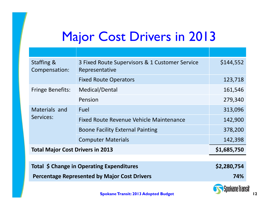# Major Cost Drivers in 2013

| <b>Staffing &amp;</b><br>Compensation:              | 3 Fixed Route Supervisors & 1 Customer Service<br>Representative | \$144,552   |
|-----------------------------------------------------|------------------------------------------------------------------|-------------|
|                                                     | <b>Fixed Route Operators</b>                                     | 123,718     |
| <b>Fringe Benefits:</b>                             | Medical/Dental                                                   | 161,546     |
|                                                     | Pension                                                          | 279,340     |
| Materials and<br>Services:                          | Fuel                                                             | 313,096     |
|                                                     | Fixed Route Revenue Vehicle Maintenance                          | 142,900     |
|                                                     | <b>Boone Facility External Painting</b>                          | 378,200     |
|                                                     | <b>Computer Materials</b>                                        | 142,398     |
| <b>Total Major Cost Drivers in 2013</b>             |                                                                  | \$1,685,750 |
|                                                     |                                                                  |             |
| Total \$ Change in Operating Expenditures           |                                                                  | \$2,280,754 |
| <b>Percentage Represented by Major Cost Drivers</b> |                                                                  | 74%         |
|                                                     |                                                                  | ----        |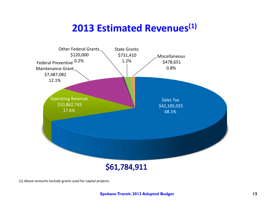### **2013 Estimated Revenues(1)**



(1) Above amounts exclude grants used for capital projects.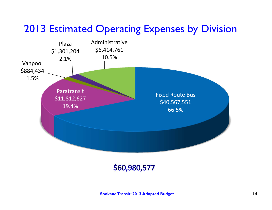### 2013 Estimated Operating Expenses by Division



\$60,980,577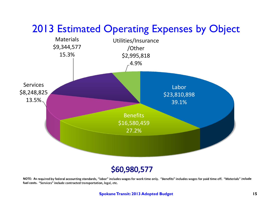

#### \$60,980,577

NOTE: As required by federal accounting standards, "labor" includes wages for work time only. "Benefits" includes wages for paid time off. "Materials" include **fuel costs. "Services" include contracted transportation, legal, etc.**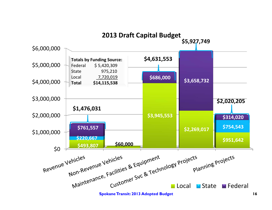

#### **16**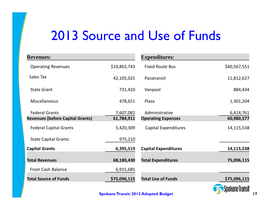# 2013 Source and Use of Funds

| <b>Revenues:</b>                        |              | <b>Expenditures:</b>        |              |
|-----------------------------------------|--------------|-----------------------------|--------------|
| <b>Operating Revenues</b>               | \$10,862,743 | <b>Fixed Route Bus</b>      | \$40,567,551 |
| Sales Tax                               | 42,105,025   | Paratransit                 | 11,812,627   |
| <b>State Grant</b>                      | 731,410      | Vanpool                     | 884,434      |
| Miscellaneous                           | 478,651      | Plaza                       | 1,301,204    |
| <b>Federal Grants</b>                   | 7,607,082    | Administrative              | 6,414,761    |
| <b>Revenues (before Capital Grants)</b> | 61,784,911   | <b>Operating Expenses</b>   | 60,980,577   |
| <b>Federal Capital Grants</b>           | 5,420,309    | <b>Capital Expenditures</b> | 14,115,538   |
| <b>State Capital Grants</b>             | 975,210      |                             |              |
| <b>Capital Grants</b>                   | 6,395,519    | <b>Capital Expenditures</b> | 14,115,538   |
| <b>Total Revenues</b>                   | 68,180,430   | <b>Total Expenditures</b>   | 75,096,115   |
| From Cash Balance                       | 6,915,685    |                             |              |
| <b>Total Source of Funds</b>            | \$75,096,115 | <b>Total Use of Funds</b>   | \$75,096,115 |

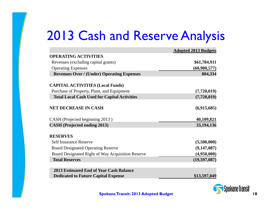# 2013 Cash and Reserve Analysis

|                                                     | <b>Adopted 2013 Budgets</b> |
|-----------------------------------------------------|-----------------------------|
| <b>OPERATING ACTIVITIES</b>                         |                             |
| Revenues (excluding capital grants)                 | \$61,784,911                |
| <b>Operating Expenses</b>                           | (60,980,577)                |
| <b>Revenues Over / (Under) Operating Expenses</b>   | 804,334                     |
| <b>CAPITAL ACTIVITIES (Local Funds)</b>             |                             |
| Purchase of Property, Plant, and Equipment          | (7,720,019)                 |
| <b>Total Local Cash Used for Capital Activities</b> | (7,720,019)                 |
| <b>NET DECREASE IN CASH</b>                         | (6,915,685)                 |
| CASH (Projected beginning 2013)                     | 40,109,821                  |
| <b>CASH</b> (Projected ending 2013)                 | 33,194,136                  |
| <b>RESERVES</b>                                     |                             |
| <b>Self Insurance Reserve</b>                       | (5,500,000)                 |
| <b>Board Designated Operating Reserve</b>           | (9,147,087)                 |
| Board Designated Right of Way Acquisition Reserve   | (4,950,000)                 |
| <b>Total Reserves</b>                               | (19, 597, 087)              |
| 2013 Estimated End of Year Cash Balance             |                             |
| <b>Dedicated to Future Capital Expense</b>          | \$13,597,049                |